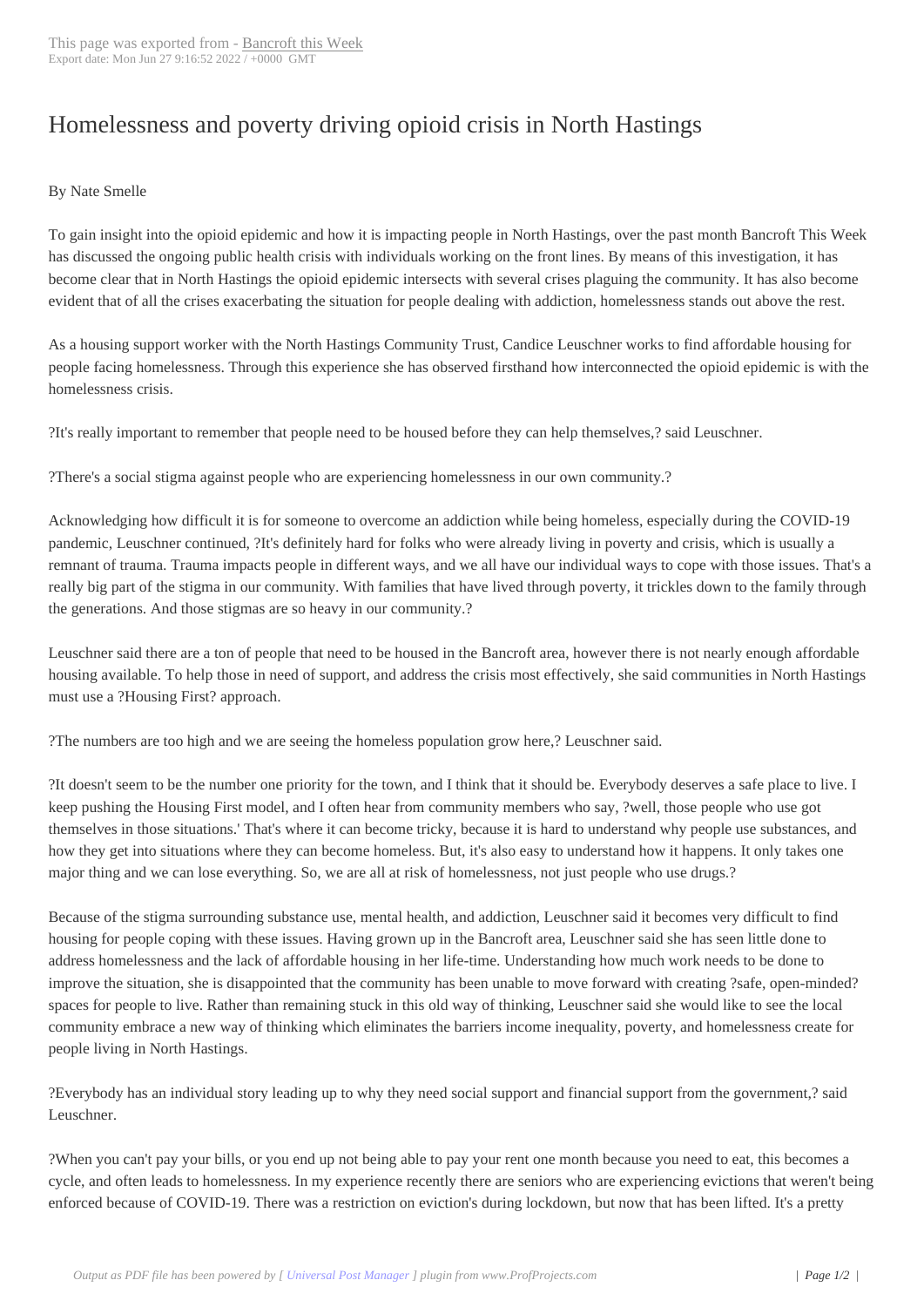## Homelessness and [poverty drivi](http://www.bancroftthisweek.com/?p=11506)ng opioid crisis in North Hastings

## By Nate Smelle

To gain insight into the opioid epidemic and how it is impacting people in North Hastings, over the past month Bancroft This Week has discussed the ongoing public health crisis with individuals working on the front lines. By means of this investigation, it has become clear that in North Hastings the opioid epidemic intersects with several crises plaguing the community. It has also become evident that of all the crises exacerbating the situation for people dealing with addiction, homelessness stands out above the rest.

As a housing support worker with the North Hastings Community Trust, Candice Leuschner works to find affordable housing for people facing homelessness. Through this experience she has observed firsthand how interconnected the opioid epidemic is with the homelessness crisis.

?It's really important to remember that people need to be housed before they can help themselves,? said Leuschner.

?There's a social stigma against people who are experiencing homelessness in our own community.?

Acknowledging how difficult it is for someone to overcome an addiction while being homeless, especially during the COVID-19 pandemic, Leuschner continued, ?It's definitely hard for folks who were already living in poverty and crisis, which is usually a remnant of trauma. Trauma impacts people in different ways, and we all have our individual ways to cope with those issues. That's a really big part of the stigma in our community. With families that have lived through poverty, it trickles down to the family through the generations. And those stigmas are so heavy in our community.?

Leuschner said there are a ton of people that need to be housed in the Bancroft area, however there is not nearly enough affordable housing available. To help those in need of support, and address the crisis most effectively, she said communities in North Hastings must use a ?Housing First? approach.

?The numbers are too high and we are seeing the homeless population grow here,? Leuschner said.

?It doesn't seem to be the number one priority for the town, and I think that it should be. Everybody deserves a safe place to live. I keep pushing the Housing First model, and I often hear from community members who say, ?well, those people who use got themselves in those situations.' That's where it can become tricky, because it is hard to understand why people use substances, and how they get into situations where they can become homeless. But, it's also easy to understand how it happens. It only takes one major thing and we can lose everything. So, we are all at risk of homelessness, not just people who use drugs.?

Because of the stigma surrounding substance use, mental health, and addiction, Leuschner said it becomes very difficult to find housing for people coping with these issues. Having grown up in the Bancroft area, Leuschner said she has seen little done to address homelessness and the lack of affordable housing in her life-time. Understanding how much work needs to be done to improve the situation, she is disappointed that the community has been unable to move forward with creating ?safe, open-minded? spaces for people to live. Rather than remaining stuck in this old way of thinking, Leuschner said she would like to see the local community embrace a new way of thinking which eliminates the barriers income inequality, poverty, and homelessness create for people living in North Hastings.

?Everybody has an individual story leading up to why they need social support and financial support from the government,? said Leuschner.

?When you can't pay your bills, or you end up not being able to pay your rent one month because you need to eat, this becomes a cycle, and often leads to homelessness. In my experience recently there are seniors who are experiencing evictions that weren't being enforced because of COVID-19. There was a restriction on eviction's during lockdown, but now that has been lifted. It's a pretty